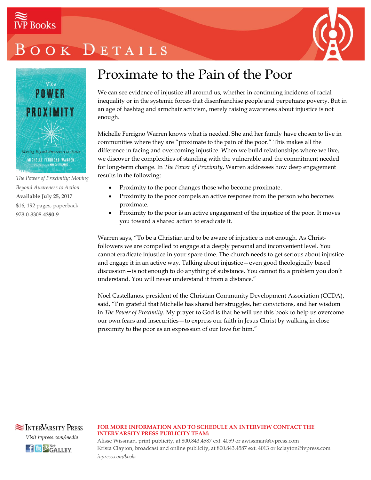

# OOK DETAILS





*The Power of Proximity: Moving Beyond Awareness to Action* **Available July 25, 2017** \$16, 192 pages, paperback 978-0-8308-**4390**-9

### Proximate to the Pain of the Poor

We can see evidence of injustice all around us, whether in continuing incidents of racial inequality or in the systemic forces that disenfranchise people and perpetuate poverty. But in an age of hashtag and armchair activism, merely raising awareness about injustice is not enough.

Michelle Ferrigno Warren knows what is needed. She and her family have chosen to live in communities where they are "proximate to the pain of the poor." This makes all the difference in facing and overcoming injustice. When we build relationships where we live, we discover the complexities of standing with the vulnerable and the commitment needed for long-term change. In *The Power of Proximity*, Warren addresses how deep engagement results in the following:

- Proximity to the poor changes those who become proximate.
- Proximity to the poor compels an active response from the person who becomes proximate.
- Proximity to the poor is an active engagement of the injustice of the poor. It moves you toward a shared action to eradicate it.

Warren says, "To be a Christian and to be aware of injustice is not enough. As Christfollowers we are compelled to engage at a deeply personal and inconvenient level. You cannot eradicate injustice in your spare time. The church needs to get serious about injustice and engage it in an active way. Talking about injustice—even good theologically based discussion—is not enough to do anything of substance. You cannot fix a problem you don't understand. You will never understand it from a distance."

Noel Castellanos, president of the Christian Community Development Association (CCDA), said, "I'm grateful that Michelle has shared her struggles, her convictions, and her wisdom in *The Power of Proximity*. My prayer to God is that he will use this book to help us overcome our own fears and insecurities—to express our faith in Jesus Christ by walking in close proximity to the poor as an expression of our love for him."



#### **FOR MORE INFORMATION AND TO SCHEDULE AN INTERVIEW CONTACT THE INTERVARSITY PRESS PUBLICITY TEAM:**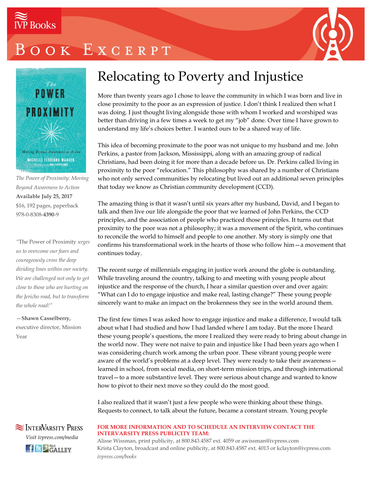

# OOK EXCERPT



*The Power of Proximity: Moving Beyond Awareness to Action* **Available July 25, 2017** \$16, 192 pages, paperback 978-0-8308-**4390**-9

*"*The Power of Proximity *urges us to overcome our fears and courageously cross the deep dividing lines within our society. We are challenged not only to get close to those who are hurting on the Jericho road, but to transform the whole road!"*

—**Shawn Casselberry,** executive director, Mission Year



More than twenty years ago I chose to leave the community in which I was born and live in

close proximity to the poor as an expression of justice. I don't think I realized then what I was doing. I just thought living alongside those with whom I worked and worshiped was better than driving in a few times a week to get my "job" done. Over time I have grown to understand my life's choices better. I wanted ours to be a shared way of life.

Relocating to Poverty and Injustice

This idea of becoming proximate to the poor was not unique to my husband and me. John Perkins, a pastor from Jackson, Mississippi, along with an amazing group of radical Christians, had been doing it for more than a decade before us. Dr. Perkins called living in proximity to the poor "relocation." This philosophy was shared by a number of Christians who not only served communities by relocating but lived out an additional seven principles that today we know as Christian community development (CCD).

The amazing thing is that it wasn't until six years after my husband, David, and I began to talk and then live our life alongside the poor that we learned of John Perkins, the CCD principles, and the association of people who practiced those principles. It turns out that proximity to the poor was not a philosophy; it was a movement of the Spirit, who continues to reconcile the world to himself and people to one another. My story is simply one that confirms his transformational work in the hearts of those who follow him—a movement that continues today.

The recent surge of millennials engaging in justice work around the globe is outstanding. While traveling around the country, talking to and meeting with young people about injustice and the response of the church, I hear a similar question over and over again: "What can I do to engage injustice and make real, lasting change?" These young people sincerely want to make an impact on the brokenness they see in the world around them.

The first few times I was asked how to engage injustice and make a difference, I would talk about what I had studied and how I had landed where I am today. But the more I heard these young people's questions, the more I realized they were ready to bring about change in the world now. They were not naive to pain and injustice like I had been years ago when I was considering church work among the urban poor. These vibrant young people were aware of the world's problems at a deep level. They were ready to take their awareness learned in school, from social media, on short-term mission trips, and through international travel—to a more substantive level. They were serious about change and wanted to know how to pivot to their next move so they could do the most good.

I also realized that it wasn't just a few people who were thinking about these things. Requests to connect, to talk about the future, became a constant stream. Young people

### **FOR MORE INFORMATION AND TO SCHEDULE AN INTERVIEW CONTACT THE INTERVARSITY PRESS PUBLICITY TEAM:**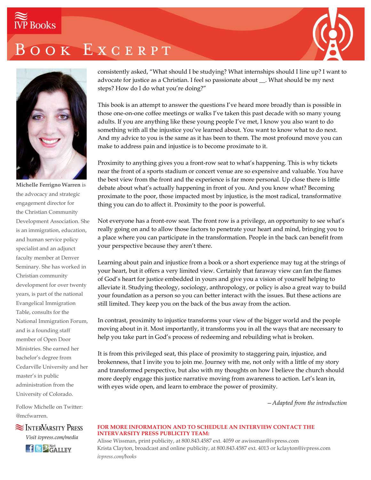## OOK EXCERPT





**Michelle Ferrigno Warren** is the advocacy and strategic engagement director for the Christian Community Development Association. She is an immigration, education, and human service policy specialist and an adjunct faculty member at Denver Seminary. She has worked in Christian community development for over twenty years, is part of the national Evangelical Immigration Table, consults for the National Immigration Forum, and is a founding staff member of Open Door Ministries. She earned her bachelor's degree from Cedarville University and her master's in public administration from the University of Colorado.

Follow Michelle on Twitter: @mcfwarren.

**SEX INTERVARSITY PRESS** *Visit ivpress.com/media* **f B 2** Net LIEV

consistently asked, "What should I be studying? What internships should I line up? I want to advocate for justice as a Christian. I feel so passionate about \_\_. What should be my next steps? How do I do what you're doing?"

This book is an attempt to answer the questions I've heard more broadly than is possible in those one-on-one coffee meetings or walks I've taken this past decade with so many young adults. If you are anything like these young people I've met, I know you also want to do something with all the injustice you've learned about. You want to know what to do next. And my advice to you is the same as it has been to them. The most profound move you can make to address pain and injustice is to become proximate to it.

Proximity to anything gives you a front-row seat to what's happening. This is why tickets near the front of a sports stadium or concert venue are so expensive and valuable. You have the best view from the front and the experience is far more personal. Up close there is little debate about what's actually happening in front of you. And you know what? Becoming proximate to the poor, those impacted most by injustice, is the most radical, transformative thing you can do to affect it. Proximity to the poor is powerful.

Not everyone has a front-row seat. The front row is a privilege, an opportunity to see what's really going on and to allow those factors to penetrate your heart and mind, bringing you to a place where you can participate in the transformation. People in the back can benefit from your perspective because they aren't there.

Learning about pain and injustice from a book or a short experience may tug at the strings of your heart, but it offers a very limited view. Certainly that faraway view can fan the flames of God's heart for justice embedded in yours and give you a vision of yourself helping to alleviate it. Studying theology, sociology, anthropology, or policy is also a great way to build your foundation as a person so you can better interact with the issues. But these actions are still limited. They keep you on the back of the bus away from the action.

In contrast, proximity to injustice transforms your view of the bigger world and the people moving about in it. Most importantly, it transforms you in all the ways that are necessary to help you take part in God's process of redeeming and rebuilding what is broken.

It is from this privileged seat, this place of proximity to staggering pain, injustice, and brokenness, that I invite you to join me. Journey with me, not only with a little of my story and transformed perspective, but also with my thoughts on how I believe the church should more deeply engage this justice narrative moving from awareness to action. Let's lean in, with eyes wide open, and learn to embrace the power of proximity.

*—Adapted from the introduction*

#### **FOR MORE INFORMATION AND TO SCHEDULE AN INTERVIEW CONTACT THE INTERVARSITY PRESS PUBLICITY TEAM:**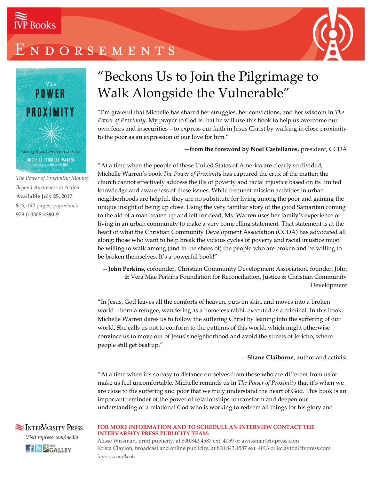

### NDORSEMENTS



*The Power of Proximity: Moving Beyond Awareness to Action* **Available July 25, 2017** \$16, 192 pages, paperback 978-0-8308-**4390**-9

## "Beckons Us to Join the Pilgrimage to Walk Alongside the Vulnerable"

"I'm grateful that Michelle has shared her struggles, her convictions, and her wisdom in *The Power of Proximity*. My prayer to God is that he will use this book to help us overcome our own fears and insecurities—to express our faith in Jesus Christ by walking in close proximity to the poor as an expression of our love for him."

—**from the foreword by Noel Castellanos,** president, CCDA

"At a time when the people of these United States of America are clearly so divided, Michelle Warren's book *The Power of Proximity* has captured the crux of the matter: the church cannot effectively address the ills of poverty and racial injustice based on its limited knowledge and awareness of these issues. While frequent mission activities in urban neighborhoods are helpful, they are no substitute for living among the poor and gaining the unique insight of being up close. Using the very familiar story of the good Samaritan coming to the aid of a man beaten up and left for dead, Ms. Warren uses her family's experience of living in an urban community to make a very compelling statement. That statement is at the heart of what the Christian Community Development Association (CCDA) has advocated all along: those who want to help break the vicious cycles of poverty and racial injustice must be willing to walk among (and in the shoes of) the people who are broken and be willing to be broken themselves. It's a powerful book!"

—**John Perkins,** cofounder, Christian Community Development Association, founder, John & Vera Mae Perkins Foundation for Reconciliation, Justice & Christian Community Development

"In Jesus, God leaves all the comforts of heaven, puts on skin, and moves into a broken world—born a refugee, wandering as a homeless rabbi, executed as a criminal. In this book, Michelle Warren dares us to follow the suffering Christ by leaning into the suffering of our world. She calls us not to conform to the patterns of this world, which might otherwise convince us to move out of Jesus's neighborhood and avoid the streets of Jericho, where people still get beat up."

—**Shane Claiborne,** author and activist

"At a time when it's so easy to distance ourselves from those who are different from us or make us feel uncomfortable, Michelle reminds us in *The Power of Proximity* that it's when we are close to the suffering and poor that we truly understand the heart of God. This book is an important reminder of the power of relationships to transform and deepen our understanding of a relational God who is working to redeem all things for his glory and

### **FOR MORE INFORMATION AND TO SCHEDULE AN INTERVIEW CONTACT THE INTERVARSITY PRESS PUBLICITY TEAM:**

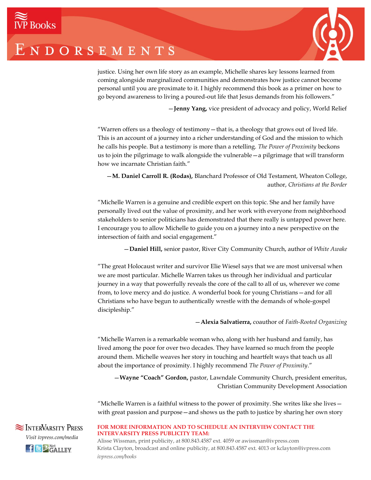### NDORSEMENTS



justice. Using her own life story as an example, Michelle shares key lessons learned from coming alongside marginalized communities and demonstrates how justice cannot become personal until you are proximate to it. I highly recommend this book as a primer on how to go beyond awareness to living a poured-out life that Jesus demands from his followers."

—**Jenny Yang,** vice president of advocacy and policy, World Relief

"Warren offers us a theology of testimony—that is, a theology that grows out of lived life. This is an account of a journey into a richer understanding of God and the mission to which he calls his people. But a testimony is more than a retelling. *The Power of Proximity* beckons us to join the pilgrimage to walk alongside the vulnerable—a pilgrimage that will transform how we incarnate Christian faith."

—**M. Daniel Carroll R. (Rodas),** Blanchard Professor of Old Testament, Wheaton College, author, *Christians at the Border*

"Michelle Warren is a genuine and credible expert on this topic. She and her family have personally lived out the value of proximity, and her work with everyone from neighborhood stakeholders to senior politicians has demonstrated that there really is untapped power here. I encourage you to allow Michelle to guide you on a journey into a new perspective on the intersection of faith and social engagement."

—**Daniel Hill,** senior pastor, River City Community Church, author of *White Awake*

"The great Holocaust writer and survivor Elie Wiesel says that we are most universal when we are most particular. Michelle Warren takes us through her individual and particular journey in a way that powerfully reveals the core of the call to all of us, wherever we come from, to love mercy and do justice. A wonderful book for young Christians—and for all Christians who have begun to authentically wrestle with the demands of whole-gospel discipleship."

—**Alexia Salvatierra,** coauthor of *Faith-Rooted Organizing*

"Michelle Warren is a remarkable woman who, along with her husband and family, has lived among the poor for over two decades. They have learned so much from the people around them. Michelle weaves her story in touching and heartfelt ways that teach us all about the importance of proximity. I highly recommend *The Power of Proximity*."

—**Wayne "Coach" Gordon,** pastor, Lawndale Community Church, president emeritus, Christian Community Development Association

"Michelle Warren is a faithful witness to the power of proximity. She writes like she lives with great passion and purpose—and shows us the path to justice by sharing her own story

#### **FOR MORE INFORMATION AND TO SCHEDULE AN INTERVIEW CONTACT THE INTERVARSITY PRESS PUBLICITY TEAM:**